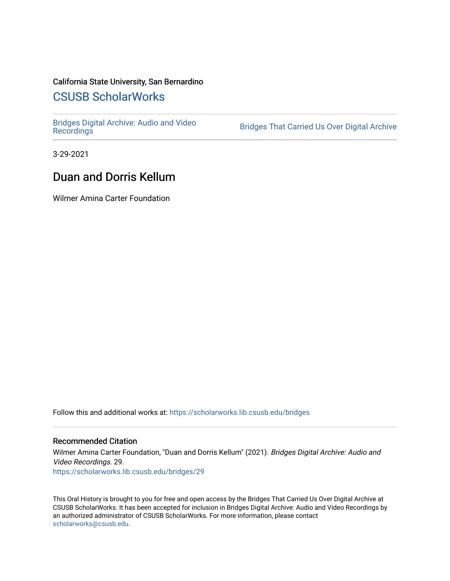# California State University, San Bernardino

# [CSUSB ScholarWorks](https://scholarworks.lib.csusb.edu/)

[Bridges Digital Archive: Audio and Video](https://scholarworks.lib.csusb.edu/bridges)

Bridges That Carried Us Over Digital Archive

3-29-2021

# Duan and Dorris Kellum

Wilmer Amina Carter Foundation

Follow this and additional works at: [https://scholarworks.lib.csusb.edu/bridges](https://scholarworks.lib.csusb.edu/bridges?utm_source=scholarworks.lib.csusb.edu%2Fbridges%2F29&utm_medium=PDF&utm_campaign=PDFCoverPages) 

#### Recommended Citation

Wilmer Amina Carter Foundation, "Duan and Dorris Kellum" (2021). Bridges Digital Archive: Audio and Video Recordings. 29. [https://scholarworks.lib.csusb.edu/bridges/29](https://scholarworks.lib.csusb.edu/bridges/29?utm_source=scholarworks.lib.csusb.edu%2Fbridges%2F29&utm_medium=PDF&utm_campaign=PDFCoverPages)

This Oral History is brought to you for free and open access by the Bridges That Carried Us Over Digital Archive at CSUSB ScholarWorks. It has been accepted for inclusion in Bridges Digital Archive: Audio and Video Recordings by an authorized administrator of CSUSB ScholarWorks. For more information, please contact [scholarworks@csusb.edu](mailto:scholarworks@csusb.edu).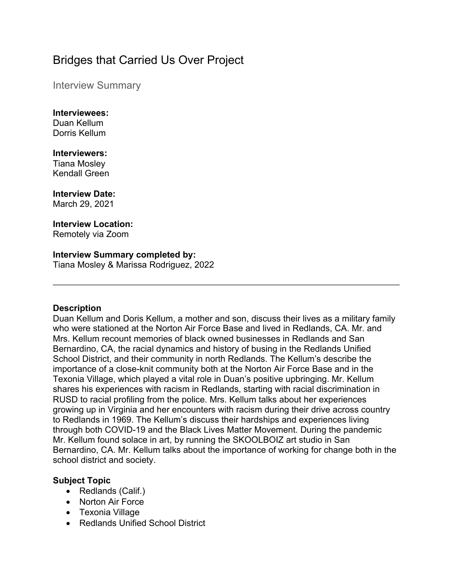# Bridges that Carried Us Over Project

Interview Summary

# **Interviewees:**

Duan Kellum Dorris Kellum

# **Interviewers:**

Tiana Mosley Kendall Green

# **Interview Date:**

March 29, 2021

#### **Interview Location:**  Remotely via Zoom

# **Interview Summary completed by:**

Tiana Mosley & Marissa Rodriguez, 2022

# **Description**

Duan Kellum and Doris Kellum, a mother and son, discuss their lives as a military family who were stationed at the Norton Air Force Base and lived in Redlands, CA. Mr. and Mrs. Kellum recount memories of black owned businesses in Redlands and San Bernardino, CA, the racial dynamics and history of busing in the Redlands Unified School District, and their community in north Redlands. The Kellum's describe the importance of a close-knit community both at the Norton Air Force Base and in the Texonia Village, which played a vital role in Duan's positive upbringing. Mr. Kellum shares his experiences with racism in Redlands, starting with racial discrimination in RUSD to racial profiling from the police. Mrs. Kellum talks about her experiences growing up in Virginia and her encounters with racism during their drive across country to Redlands in 1969. The Kellum's discuss their hardships and experiences living through both COVID-19 and the Black Lives Matter Movement. During the pandemic Mr. Kellum found solace in art, by running the SKOOLBOIZ art studio in San Bernardino, CA. Mr. Kellum talks about the importance of working for change both in the school district and society.

# **Subject Topic**

- Redlands (Calif.)
- Norton Air Force
- Texonia Village
- Redlands Unified School District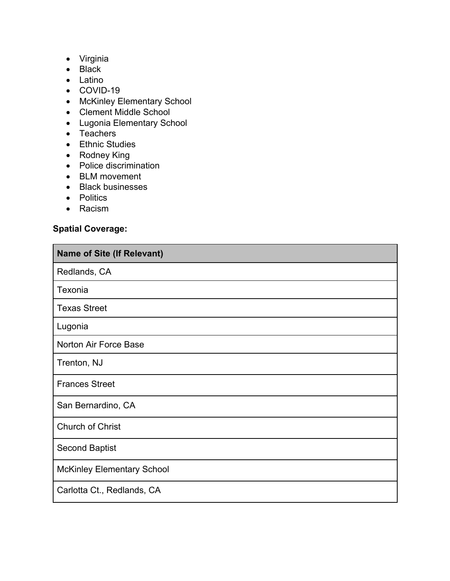- Virginia
- Black
- Latino
- COVID-19
- McKinley Elementary School
- Clement Middle School
- Lugonia Elementary School
- Teachers
- Ethnic Studies
- Rodney King
- Police discrimination
- BLM movement
- Black businesses
- Politics
- Racism

# **Spatial Coverage:**

| <b>Name of Site (If Relevant)</b> |  |  |
|-----------------------------------|--|--|
| Redlands, CA                      |  |  |
| Texonia                           |  |  |
| <b>Texas Street</b>               |  |  |
| Lugonia                           |  |  |
| Norton Air Force Base             |  |  |
| Trenton, NJ                       |  |  |
| <b>Frances Street</b>             |  |  |
| San Bernardino, CA                |  |  |
| <b>Church of Christ</b>           |  |  |
| <b>Second Baptist</b>             |  |  |
| <b>McKinley Elementary School</b> |  |  |
| Carlotta Ct., Redlands, CA        |  |  |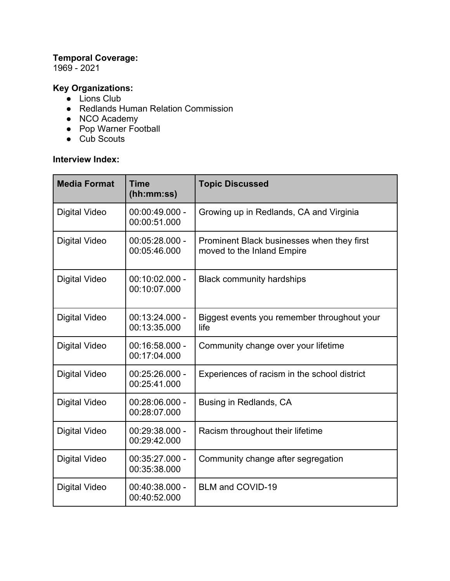# **Temporal Coverage:**

1969 - 2021

# **Key Organizations:**

- $\bullet$  Lions Club
- Redlands Human Relation Commission
- NCO Academy
- Pop Warner Football
- Cub Scouts

# **Interview Index:**

| <b>Media Format</b>  | Time<br>(hh:mm:ss)               | <b>Topic Discussed</b>                                                   |
|----------------------|----------------------------------|--------------------------------------------------------------------------|
| <b>Digital Video</b> | $00:00:49.000 -$<br>00:00:51.000 | Growing up in Redlands, CA and Virginia                                  |
| <b>Digital Video</b> | $00:05:28.000 -$<br>00:05:46.000 | Prominent Black businesses when they first<br>moved to the Inland Empire |
| <b>Digital Video</b> | $00:10:02.000 -$<br>00:10:07.000 | <b>Black community hardships</b>                                         |
| <b>Digital Video</b> | $00:13:24.000 -$<br>00:13:35.000 | Biggest events you remember throughout your<br>life                      |
| <b>Digital Video</b> | $00:16:58.000 -$<br>00:17:04.000 | Community change over your lifetime                                      |
| <b>Digital Video</b> | $00:25:26.000 -$<br>00:25:41.000 | Experiences of racism in the school district                             |
| <b>Digital Video</b> | 00:28:06.000 -<br>00:28:07.000   | Busing in Redlands, CA                                                   |
| <b>Digital Video</b> | 00:29:38.000 -<br>00:29:42.000   | Racism throughout their lifetime                                         |
| <b>Digital Video</b> | 00:35:27.000 -<br>00:35:38.000   | Community change after segregation                                       |
| <b>Digital Video</b> | 00:40:38.000 -<br>00:40:52.000   | <b>BLM and COVID-19</b>                                                  |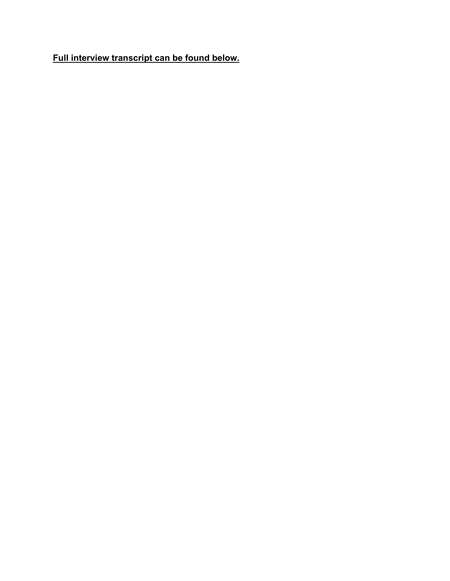**Full interview transcript can be found below.**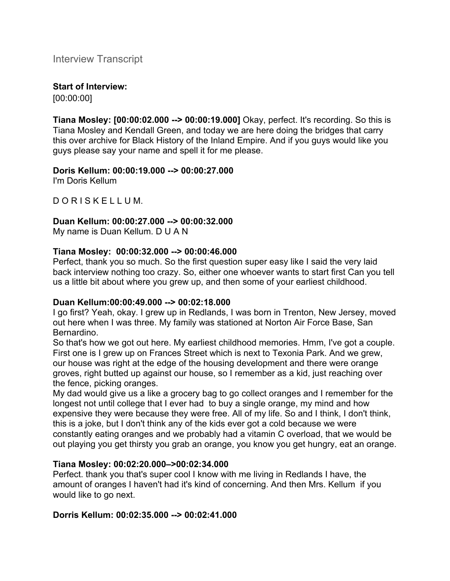Interview Transcript

# **Start of Interview:**

[00:00:00]

**Tiana Mosley: [00:00:02.000 --> 00:00:19.000]** Okay, perfect. It's recording. So this is Tiana Mosley and Kendall Green, and today we are here doing the bridges that carry this over archive for Black History of the Inland Empire. And if you guys would like you guys please say your name and spell it for me please.

# **Doris Kellum: 00:00:19.000 --> 00:00:27.000**

I'm Doris Kellum

D O R I S K E L L U M.

# **Duan Kellum: 00:00:27.000 --> 00:00:32.000**

My name is Duan Kellum. D U A N

# **Tiana Mosley: 00:00:32.000 --> 00:00:46.000**

Perfect, thank you so much. So the first question super easy like I said the very laid back interview nothing too crazy. So, either one whoever wants to start first Can you tell us a little bit about where you grew up, and then some of your earliest childhood.

# **Duan Kellum:00:00:49.000 --> 00:02:18.000**

I go first? Yeah, okay. I grew up in Redlands, I was born in Trenton, New Jersey, moved out here when I was three. My family was stationed at Norton Air Force Base, San Bernardino.

So that's how we got out here. My earliest childhood memories. Hmm, I've got a couple. First one is I grew up on Frances Street which is next to Texonia Park. And we grew, our house was right at the edge of the housing development and there were orange groves, right butted up against our house, so I remember as a kid, just reaching over the fence, picking oranges.

My dad would give us a like a grocery bag to go collect oranges and I remember for the longest not until college that I ever had to buy a single orange, my mind and how expensive they were because they were free. All of my life. So and I think, I don't think, this is a joke, but I don't think any of the kids ever got a cold because we were constantly eating oranges and we probably had a vitamin C overload, that we would be out playing you get thirsty you grab an orange, you know you get hungry, eat an orange.

# **Tiana Mosley: 00:02:20.000–>00:02:34.000**

Perfect. thank you that's super cool I know with me living in Redlands I have, the amount of oranges I haven't had it's kind of concerning. And then Mrs. Kellum if you would like to go next.

# **Dorris Kellum: 00:02:35.000 --> 00:02:41.000**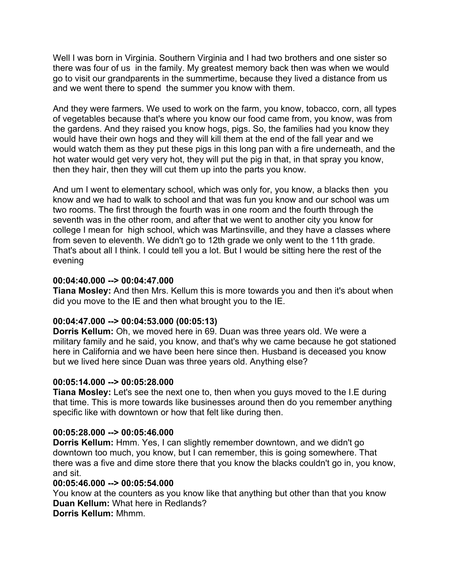Well I was born in Virginia. Southern Virginia and I had two brothers and one sister so there was four of us in the family. My greatest memory back then was when we would go to visit our grandparents in the summertime, because they lived a distance from us and we went there to spend the summer you know with them.

And they were farmers. We used to work on the farm, you know, tobacco, corn, all types of vegetables because that's where you know our food came from, you know, was from the gardens. And they raised you know hogs, pigs. So, the families had you know they would have their own hogs and they will kill them at the end of the fall year and we would watch them as they put these pigs in this long pan with a fire underneath, and the hot water would get very very hot, they will put the pig in that, in that spray you know, then they hair, then they will cut them up into the parts you know.

And um I went to elementary school, which was only for, you know, a blacks then you know and we had to walk to school and that was fun you know and our school was um two rooms. The first through the fourth was in one room and the fourth through the seventh was in the other room, and after that we went to another city you know for college I mean for high school, which was Martinsville, and they have a classes where from seven to eleventh. We didn't go to 12th grade we only went to the 11th grade. That's about all I think. I could tell you a lot. But I would be sitting here the rest of the evening

#### **00:04:40.000 --> 00:04:47.000**

**Tiana Mosley:** And then Mrs. Kellum this is more towards you and then it's about when did you move to the IE and then what brought you to the IE.

# **00:04:47.000 --> 00:04:53.000 (00:05:13)**

**Dorris Kellum:** Oh, we moved here in 69. Duan was three years old. We were a military family and he said, you know, and that's why we came because he got stationed here in California and we have been here since then. Husband is deceased you know but we lived here since Duan was three years old. Anything else?

# **00:05:14.000 --> 00:05:28.000**

**Tiana Mosley:** Let's see the next one to, then when you guys moved to the I.E during that time. This is more towards like businesses around then do you remember anything specific like with downtown or how that felt like during then.

# **00:05:28.000 --> 00:05:46.000**

**Dorris Kellum:** Hmm. Yes, I can slightly remember downtown, and we didn't go downtown too much, you know, but I can remember, this is going somewhere. That there was a five and dime store there that you know the blacks couldn't go in, you know, and sit.

# **00:05:46.000 --> 00:05:54.000**

You know at the counters as you know like that anything but other than that you know **Duan Kellum:** What here in Redlands?

**Dorris Kellum:** Mhmm.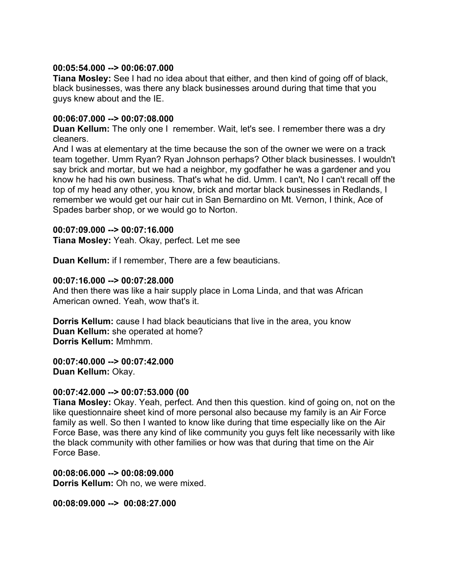#### **00:05:54.000 --> 00:06:07.000**

**Tiana Mosley:** See I had no idea about that either, and then kind of going off of black, black businesses, was there any black businesses around during that time that you guys knew about and the IE.

#### **00:06:07.000 --> 00:07:08.000**

**Duan Kellum:** The only one I remember. Wait, let's see. I remember there was a dry cleaners.

And I was at elementary at the time because the son of the owner we were on a track team together. Umm Ryan? Ryan Johnson perhaps? Other black businesses. I wouldn't say brick and mortar, but we had a neighbor, my godfather he was a gardener and you know he had his own business. That's what he did. Umm. I can't, No I can't recall off the top of my head any other, you know, brick and mortar black businesses in Redlands, I remember we would get our hair cut in San Bernardino on Mt. Vernon, I think, Ace of Spades barber shop, or we would go to Norton.

#### **00:07:09.000 --> 00:07:16.000**

**Tiana Mosley:** Yeah. Okay, perfect. Let me see

**Duan Kellum:** if I remember, There are a few beauticians.

#### **00:07:16.000 --> 00:07:28.000**

And then there was like a hair supply place in Loma Linda, and that was African American owned. Yeah, wow that's it.

**Dorris Kellum:** cause I had black beauticians that live in the area, you know **Duan Kellum:** she operated at home? **Dorris Kellum:** Mmhmm.

**00:07:40.000 --> 00:07:42.000 Duan Kellum:** Okay.

# **00:07:42.000 --> 00:07:53.000 (00**

**Tiana Mosley:** Okay. Yeah, perfect. And then this question. kind of going on, not on the like questionnaire sheet kind of more personal also because my family is an Air Force family as well. So then I wanted to know like during that time especially like on the Air Force Base, was there any kind of like community you guys felt like necessarily with like the black community with other families or how was that during that time on the Air Force Base.

**00:08:06.000 --> 00:08:09.000 Dorris Kellum:** Oh no, we were mixed.

**00:08:09.000 --> 00:08:27.000**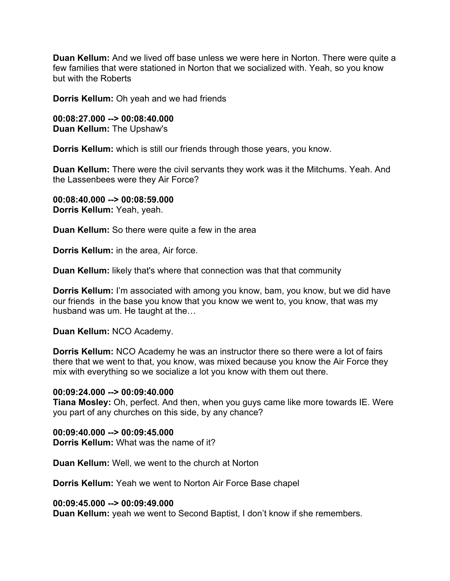**Duan Kellum:** And we lived off base unless we were here in Norton. There were quite a few families that were stationed in Norton that we socialized with. Yeah, so you know but with the Roberts

**Dorris Kellum:** Oh yeah and we had friends

**00:08:27.000 --> 00:08:40.000 Duan Kellum:** The Upshaw's

**Dorris Kellum:** which is still our friends through those years, you know.

**Duan Kellum:** There were the civil servants they work was it the Mitchums. Yeah. And the Lassenbees were they Air Force?

**00:08:40.000 --> 00:08:59.000 Dorris Kellum:** Yeah, yeah.

**Duan Kellum:** So there were quite a few in the area

**Dorris Kellum:** in the area, Air force.

**Duan Kellum:** likely that's where that connection was that that community

**Dorris Kellum:** I'm associated with among you know, bam, you know, but we did have our friends in the base you know that you know we went to, you know, that was my husband was um. He taught at the…

**Duan Kellum:** NCO Academy.

**Dorris Kellum:** NCO Academy he was an instructor there so there were a lot of fairs there that we went to that, you know, was mixed because you know the Air Force they mix with everything so we socialize a lot you know with them out there.

#### **00:09:24.000 --> 00:09:40.000**

**Tiana Mosley:** Oh, perfect. And then, when you guys came like more towards IE. Were you part of any churches on this side, by any chance?

**00:09:40.000 --> 00:09:45.000 Dorris Kellum:** What was the name of it?

**Duan Kellum:** Well, we went to the church at Norton

**Dorris Kellum:** Yeah we went to Norton Air Force Base chapel

#### **00:09:45.000 --> 00:09:49.000**

**Duan Kellum:** yeah we went to Second Baptist, I don't know if she remembers.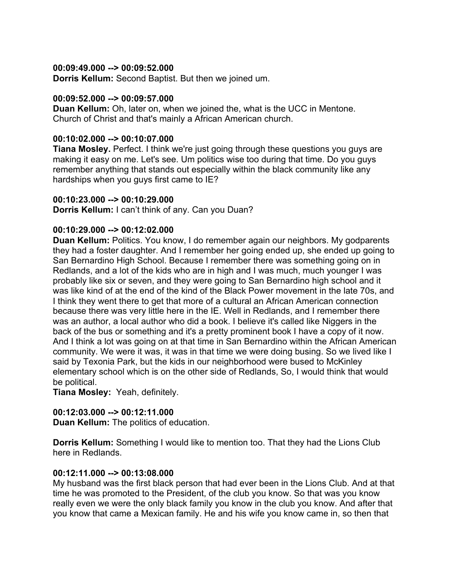#### **00:09:49.000 --> 00:09:52.000**

**Dorris Kellum:** Second Baptist. But then we joined um.

#### **00:09:52.000 --> 00:09:57.000**

**Duan Kellum:** Oh, later on, when we joined the, what is the UCC in Mentone. Church of Christ and that's mainly a African American church.

#### **00:10:02.000 --> 00:10:07.000**

**Tiana Mosley.** Perfect. I think we're just going through these questions you guys are making it easy on me. Let's see. Um politics wise too during that time. Do you guys remember anything that stands out especially within the black community like any hardships when you guys first came to IE?

#### **00:10:23.000 --> 00:10:29.000**

**Dorris Kellum:** I can't think of any. Can you Duan?

# **00:10:29.000 --> 00:12:02.000**

**Duan Kellum:** Politics. You know, I do remember again our neighbors. My godparents they had a foster daughter. And I remember her going ended up, she ended up going to San Bernardino High School. Because I remember there was something going on in Redlands, and a lot of the kids who are in high and I was much, much younger I was probably like six or seven, and they were going to San Bernardino high school and it was like kind of at the end of the kind of the Black Power movement in the late 70s, and I think they went there to get that more of a cultural an African American connection because there was very little here in the IE. Well in Redlands, and I remember there was an author, a local author who did a book. I believe it's called like Niggers in the back of the bus or something and it's a pretty prominent book I have a copy of it now. And I think a lot was going on at that time in San Bernardino within the African American community. We were it was, it was in that time we were doing busing. So we lived like I said by Texonia Park, but the kids in our neighborhood were bused to McKinley elementary school which is on the other side of Redlands, So, I would think that would be political.

**Tiana Mosley:** Yeah, definitely.

# **00:12:03.000 --> 00:12:11.000**

**Duan Kellum:** The politics of education.

**Dorris Kellum:** Something I would like to mention too. That they had the Lions Club here in Redlands.

# **00:12:11.000 --> 00:13:08.000**

My husband was the first black person that had ever been in the Lions Club. And at that time he was promoted to the President, of the club you know. So that was you know really even we were the only black family you know in the club you know. And after that you know that came a Mexican family. He and his wife you know came in, so then that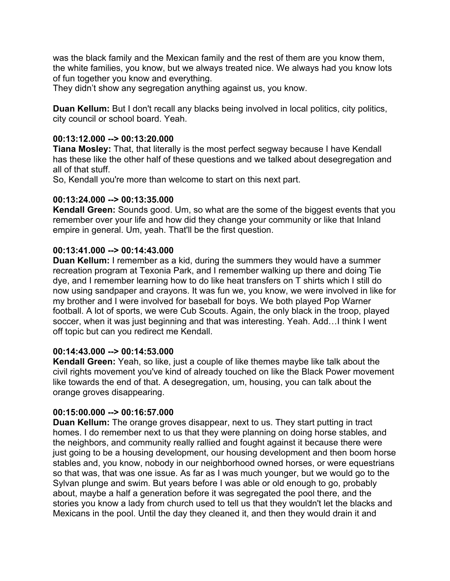was the black family and the Mexican family and the rest of them are you know them, the white families, you know, but we always treated nice. We always had you know lots of fun together you know and everything.

They didn't show any segregation anything against us, you know.

**Duan Kellum:** But I don't recall any blacks being involved in local politics, city politics, city council or school board. Yeah.

#### **00:13:12.000 --> 00:13:20.000**

**Tiana Mosley:** That, that literally is the most perfect segway because I have Kendall has these like the other half of these questions and we talked about desegregation and all of that stuff.

So, Kendall you're more than welcome to start on this next part.

#### **00:13:24.000 --> 00:13:35.000**

**Kendall Green:** Sounds good. Um, so what are the some of the biggest events that you remember over your life and how did they change your community or like that Inland empire in general. Um, yeah. That'll be the first question.

#### **00:13:41.000 --> 00:14:43.000**

**Duan Kellum:** I remember as a kid, during the summers they would have a summer recreation program at Texonia Park, and I remember walking up there and doing Tie dye, and I remember learning how to do like heat transfers on T shirts which I still do now using sandpaper and crayons. It was fun we, you know, we were involved in like for my brother and I were involved for baseball for boys. We both played Pop Warner football. A lot of sports, we were Cub Scouts. Again, the only black in the troop, played soccer, when it was just beginning and that was interesting. Yeah. Add…I think I went off topic but can you redirect me Kendall.

# **00:14:43.000 --> 00:14:53.000**

**Kendall Green:** Yeah, so like, just a couple of like themes maybe like talk about the civil rights movement you've kind of already touched on like the Black Power movement like towards the end of that. A desegregation, um, housing, you can talk about the orange groves disappearing.

# **00:15:00.000 --> 00:16:57.000**

**Duan Kellum:** The orange groves disappear, next to us. They start putting in tract homes. I do remember next to us that they were planning on doing horse stables, and the neighbors, and community really rallied and fought against it because there were just going to be a housing development, our housing development and then boom horse stables and, you know, nobody in our neighborhood owned horses, or were equestrians so that was, that was one issue. As far as I was much younger, but we would go to the Sylvan plunge and swim. But years before I was able or old enough to go, probably about, maybe a half a generation before it was segregated the pool there, and the stories you know a lady from church used to tell us that they wouldn't let the blacks and Mexicans in the pool. Until the day they cleaned it, and then they would drain it and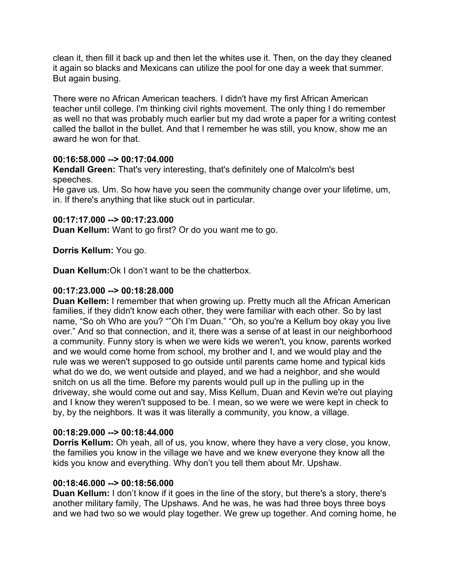clean it, then fill it back up and then let the whites use it. Then, on the day they cleaned it again so blacks and Mexicans can utilize the pool for one day a week that summer. But again busing.

There were no African American teachers. I didn't have my first African American teacher until college. I'm thinking civil rights movement. The only thing I do remember as well no that was probably much earlier but my dad wrote a paper for a writing contest called the ballot in the bullet. And that I remember he was still, you know, show me an award he won for that.

# **00:16:58.000 --> 00:17:04.000**

**Kendall Green:** That's very interesting, that's definitely one of Malcolm's best speeches.

He gave us. Um. So how have you seen the community change over your lifetime, um, in. If there's anything that like stuck out in particular.

# **00:17:17.000 --> 00:17:23.000**

**Duan Kellum:** Want to go first? Or do you want me to go.

# **Dorris Kellum:** You go.

**Duan Kellum:**Ok I don't want to be the chatterbox.

# **00:17:23.000 --> 00:18:28.000**

**Duan Kellem:** I remember that when growing up. Pretty much all the African American families, if they didn't know each other, they were familiar with each other. So by last name, "So oh Who are you? ""Oh I'm Duan." "Oh, so you're a Kellum boy okay you live over." And so that connection, and it, there was a sense of at least in our neighborhood a community. Funny story is when we were kids we weren't, you know, parents worked and we would come home from school, my brother and I, and we would play and the rule was we weren't supposed to go outside until parents came home and typical kids what do we do, we went outside and played, and we had a neighbor, and she would snitch on us all the time. Before my parents would pull up in the pulling up in the driveway, she would come out and say, Miss Kellum, Duan and Kevin we're out playing and I know they weren't supposed to be. I mean, so we were we were kept in check to by, by the neighbors. It was it was literally a community, you know, a village.

# **00:18:29.000 --> 00:18:44.000**

**Dorris Kellum:** Oh yeah, all of us, you know, where they have a very close, you know, the families you know in the village we have and we knew everyone they know all the kids you know and everything. Why don't you tell them about Mr. Upshaw.

# **00:18:46.000 --> 00:18:56.000**

**Duan Kellum:** I don't know if it goes in the line of the story, but there's a story, there's another military family, The Upshaws. And he was, he was had three boys three boys and we had two so we would play together. We grew up together. And coming home, he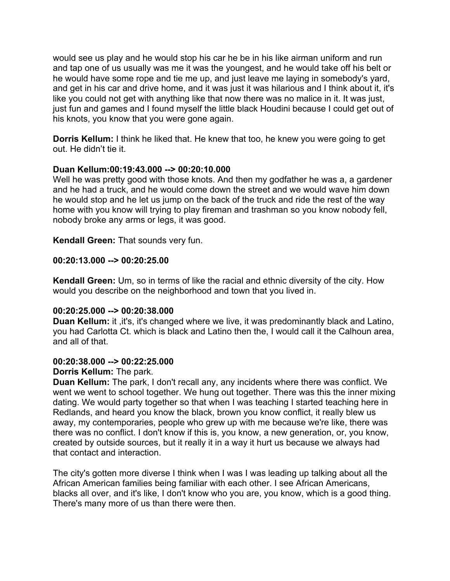would see us play and he would stop his car he be in his like airman uniform and run and tap one of us usually was me it was the youngest, and he would take off his belt or he would have some rope and tie me up, and just leave me laying in somebody's yard, and get in his car and drive home, and it was just it was hilarious and I think about it, it's like you could not get with anything like that now there was no malice in it. It was just, just fun and games and I found myself the little black Houdini because I could get out of his knots, you know that you were gone again.

**Dorris Kellum:** I think he liked that. He knew that too, he knew you were going to get out. He didn't tie it.

#### **Duan Kellum:00:19:43.000 --> 00:20:10.000**

Well he was pretty good with those knots. And then my godfather he was a, a gardener and he had a truck, and he would come down the street and we would wave him down he would stop and he let us jump on the back of the truck and ride the rest of the way home with you know will trying to play fireman and trashman so you know nobody fell, nobody broke any arms or legs, it was good.

**Kendall Green:** That sounds very fun.

#### **00:20:13.000 --> 00:20:25.00**

**Kendall Green:** Um, so in terms of like the racial and ethnic diversity of the city. How would you describe on the neighborhood and town that you lived in.

#### **00:20:25.000 --> 00:20:38.000**

**Duan Kellum:** it ,it's, it's changed where we live, it was predominantly black and Latino, you had Carlotta Ct. which is black and Latino then the, I would call it the Calhoun area, and all of that.

#### **00:20:38.000 --> 00:22:25.000**

**Dorris Kellum:** The park.

**Duan Kellum:** The park, I don't recall any, any incidents where there was conflict. We went we went to school together. We hung out together. There was this the inner mixing dating. We would party together so that when I was teaching I started teaching here in Redlands, and heard you know the black, brown you know conflict, it really blew us away, my contemporaries, people who grew up with me because we're like, there was there was no conflict. I don't know if this is, you know, a new generation, or, you know, created by outside sources, but it really it in a way it hurt us because we always had that contact and interaction.

The city's gotten more diverse I think when I was I was leading up talking about all the African American families being familiar with each other. I see African Americans, blacks all over, and it's like, I don't know who you are, you know, which is a good thing. There's many more of us than there were then.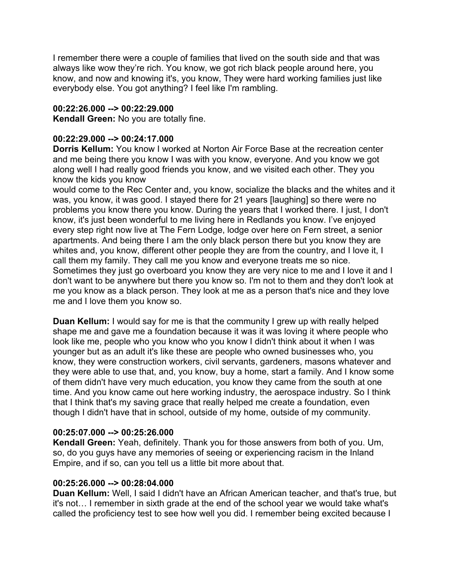I remember there were a couple of families that lived on the south side and that was always like wow they're rich. You know, we got rich black people around here, you know, and now and knowing it's, you know, They were hard working families just like everybody else. You got anything? I feel like I'm rambling.

# **00:22:26.000 --> 00:22:29.000**

**Kendall Green:** No you are totally fine.

# **00:22:29.000 --> 00:24:17.000**

**Dorris Kellum:** You know I worked at Norton Air Force Base at the recreation center and me being there you know I was with you know, everyone. And you know we got along well I had really good friends you know, and we visited each other. They you know the kids you know

would come to the Rec Center and, you know, socialize the blacks and the whites and it was, you know, it was good. I stayed there for 21 years [laughing] so there were no problems you know there you know. During the years that I worked there. I just, I don't know, it's just been wonderful to me living here in Redlands you know. I've enjoyed every step right now live at The Fern Lodge, lodge over here on Fern street, a senior apartments. And being there I am the only black person there but you know they are whites and, you know, different other people they are from the country, and I love it, I call them my family. They call me you know and everyone treats me so nice. Sometimes they just go overboard you know they are very nice to me and I love it and I don't want to be anywhere but there you know so. I'm not to them and they don't look at me you know as a black person. They look at me as a person that's nice and they love me and I love them you know so.

**Duan Kellum:** I would say for me is that the community I grew up with really helped shape me and gave me a foundation because it was it was loving it where people who look like me, people who you know who you know I didn't think about it when I was younger but as an adult it's like these are people who owned businesses who, you know, they were construction workers, civil servants, gardeners, masons whatever and they were able to use that, and, you know, buy a home, start a family. And I know some of them didn't have very much education, you know they came from the south at one time. And you know came out here working industry, the aerospace industry. So I think that I think that's my saving grace that really helped me create a foundation, even though I didn't have that in school, outside of my home, outside of my community.

# **00:25:07.000 --> 00:25:26.000**

**Kendall Green:** Yeah, definitely. Thank you for those answers from both of you. Um, so, do you guys have any memories of seeing or experiencing racism in the Inland Empire, and if so, can you tell us a little bit more about that.

# **00:25:26.000 --> 00:28:04.000**

**Duan Kellum:** Well, I said I didn't have an African American teacher, and that's true, but it's not… I remember in sixth grade at the end of the school year we would take what's called the proficiency test to see how well you did. I remember being excited because I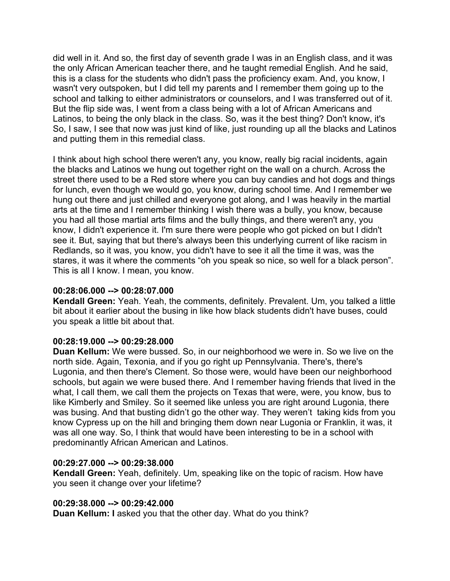did well in it. And so, the first day of seventh grade I was in an English class, and it was the only African American teacher there, and he taught remedial English. And he said, this is a class for the students who didn't pass the proficiency exam. And, you know, I wasn't very outspoken, but I did tell my parents and I remember them going up to the school and talking to either administrators or counselors, and I was transferred out of it. But the flip side was, I went from a class being with a lot of African Americans and Latinos, to being the only black in the class. So, was it the best thing? Don't know, it's So, I saw, I see that now was just kind of like, just rounding up all the blacks and Latinos and putting them in this remedial class.

I think about high school there weren't any, you know, really big racial incidents, again the blacks and Latinos we hung out together right on the wall on a church. Across the street there used to be a Red store where you can buy candies and hot dogs and things for lunch, even though we would go, you know, during school time. And I remember we hung out there and just chilled and everyone got along, and I was heavily in the martial arts at the time and I remember thinking I wish there was a bully, you know, because you had all those martial arts films and the bully things, and there weren't any, you know, I didn't experience it. I'm sure there were people who got picked on but I didn't see it. But, saying that but there's always been this underlying current of like racism in Redlands, so it was, you know, you didn't have to see it all the time it was, was the stares, it was it where the comments "oh you speak so nice, so well for a black person". This is all I know. I mean, you know.

# **00:28:06.000 --> 00:28:07.000**

**Kendall Green:** Yeah. Yeah, the comments, definitely. Prevalent. Um, you talked a little bit about it earlier about the busing in like how black students didn't have buses, could you speak a little bit about that.

# **00:28:19.000 --> 00:29:28.000**

**Duan Kellum:** We were bussed. So, in our neighborhood we were in. So we live on the north side. Again, Texonia, and if you go right up Pennsylvania. There's, there's Lugonia, and then there's Clement. So those were, would have been our neighborhood schools, but again we were bused there. And I remember having friends that lived in the what, I call them, we call them the projects on Texas that were, were, you know, bus to like Kimberly and Smiley. So it seemed like unless you are right around Lugonia, there was busing. And that busting didn't go the other way. They weren't taking kids from you know Cypress up on the hill and bringing them down near Lugonia or Franklin, it was, it was all one way. So, I think that would have been interesting to be in a school with predominantly African American and Latinos.

# **00:29:27.000 --> 00:29:38.000**

**Kendall Green:** Yeah, definitely. Um, speaking like on the topic of racism. How have you seen it change over your lifetime?

# **00:29:38.000 --> 00:29:42.000**

**Duan Kellum: I** asked you that the other day. What do you think?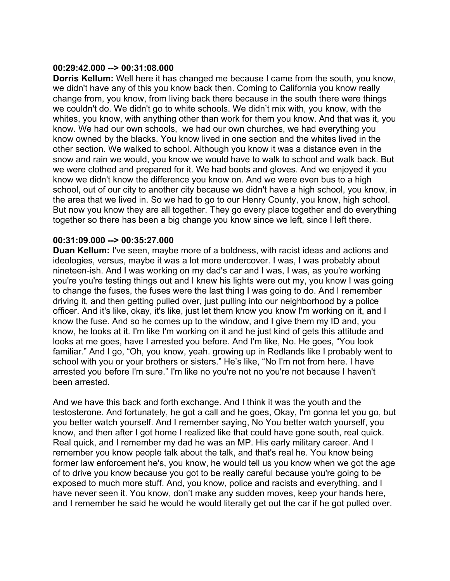#### **00:29:42.000 --> 00:31:08.000**

**Dorris Kellum:** Well here it has changed me because I came from the south, you know, we didn't have any of this you know back then. Coming to California you know really change from, you know, from living back there because in the south there were things we couldn't do. We didn't go to white schools. We didn't mix with, you know, with the whites, you know, with anything other than work for them you know. And that was it, you know. We had our own schools, we had our own churches, we had everything you know owned by the blacks. You know lived in one section and the whites lived in the other section. We walked to school. Although you know it was a distance even in the snow and rain we would, you know we would have to walk to school and walk back. But we were clothed and prepared for it. We had boots and gloves. And we enjoyed it you know we didn't know the difference you know on. And we were even bus to a high school, out of our city to another city because we didn't have a high school, you know, in the area that we lived in. So we had to go to our Henry County, you know, high school. But now you know they are all together. They go every place together and do everything together so there has been a big change you know since we left, since I left there.

#### **00:31:09.000 --> 00:35:27.000**

**Duan Kellum:** I've seen, maybe more of a boldness, with racist ideas and actions and ideologies, versus, maybe it was a lot more undercover. I was, I was probably about nineteen-ish. And I was working on my dad's car and I was, I was, as you're working you're you're testing things out and I knew his lights were out my, you know I was going to change the fuses, the fuses were the last thing I was going to do. And I remember driving it, and then getting pulled over, just pulling into our neighborhood by a police officer. And it's like, okay, it's like, just let them know you know I'm working on it, and I know the fuse. And so he comes up to the window, and I give them my ID and, you know, he looks at it. I'm like I'm working on it and he just kind of gets this attitude and looks at me goes, have I arrested you before. And I'm like, No. He goes, "You look familiar." And I go, "Oh, you know, yeah. growing up in Redlands like I probably went to school with you or your brothers or sisters." He's like, "No I'm not from here. I have arrested you before I'm sure." I'm like no you're not no you're not because I haven't been arrested.

And we have this back and forth exchange. And I think it was the youth and the testosterone. And fortunately, he got a call and he goes, Okay, I'm gonna let you go, but you better watch yourself. And I remember saying, No You better watch yourself, you know, and then after I got home I realized like that could have gone south, real quick. Real quick, and I remember my dad he was an MP. His early military career. And I remember you know people talk about the talk, and that's real he. You know being former law enforcement he's, you know, he would tell us you know when we got the age of to drive you know because you got to be really careful because you're going to be exposed to much more stuff. And, you know, police and racists and everything, and I have never seen it. You know, don't make any sudden moves, keep your hands here, and I remember he said he would he would literally get out the car if he got pulled over.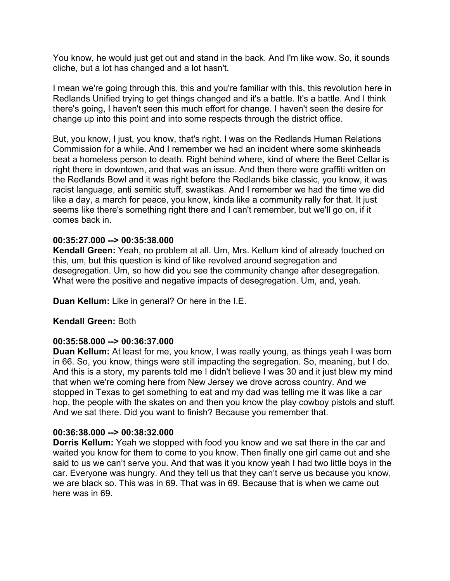You know, he would just get out and stand in the back. And I'm like wow. So, it sounds cliche, but a lot has changed and a lot hasn't.

I mean we're going through this, this and you're familiar with this, this revolution here in Redlands Unified trying to get things changed and it's a battle. It's a battle. And I think there's going, I haven't seen this much effort for change. I haven't seen the desire for change up into this point and into some respects through the district office.

But, you know, I just, you know, that's right. I was on the Redlands Human Relations Commission for a while. And I remember we had an incident where some skinheads beat a homeless person to death. Right behind where, kind of where the Beet Cellar is right there in downtown, and that was an issue. And then there were graffiti written on the Redlands Bowl and it was right before the Redlands bike classic, you know, it was racist language, anti semitic stuff, swastikas. And I remember we had the time we did like a day, a march for peace, you know, kinda like a community rally for that. It just seems like there's something right there and I can't remember, but we'll go on, if it comes back in.

# **00:35:27.000 --> 00:35:38.000**

**Kendall Green:** Yeah, no problem at all. Um, Mrs. Kellum kind of already touched on this, um, but this question is kind of like revolved around segregation and desegregation. Um, so how did you see the community change after desegregation. What were the positive and negative impacts of desegregation. Um, and, yeah.

**Duan Kellum:** Like in general? Or here in the I.E.

#### **Kendall Green:** Both

#### **00:35:58.000 --> 00:36:37.000**

**Duan Kellum:** At least for me, you know, I was really young, as things yeah I was born in 66. So, you know, things were still impacting the segregation. So, meaning, but I do. And this is a story, my parents told me I didn't believe I was 30 and it just blew my mind that when we're coming here from New Jersey we drove across country. And we stopped in Texas to get something to eat and my dad was telling me it was like a car hop, the people with the skates on and then you know the play cowboy pistols and stuff. And we sat there. Did you want to finish? Because you remember that.

#### **00:36:38.000 --> 00:38:32.000**

**Dorris Kellum:** Yeah we stopped with food you know and we sat there in the car and waited you know for them to come to you know. Then finally one girl came out and she said to us we can't serve you. And that was it you know yeah I had two little boys in the car. Everyone was hungry. And they tell us that they can't serve us because you know, we are black so. This was in 69. That was in 69. Because that is when we came out here was in 69.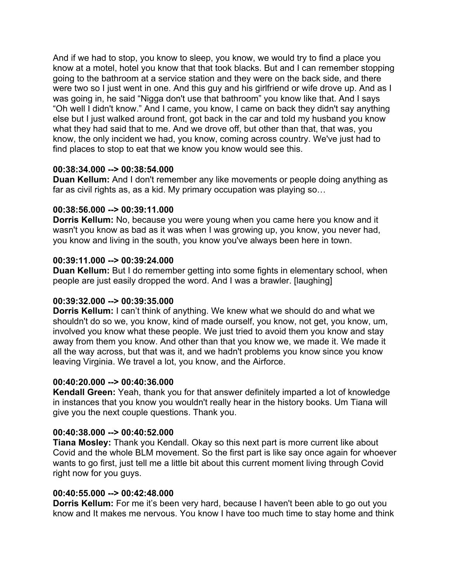And if we had to stop, you know to sleep, you know, we would try to find a place you know at a motel, hotel you know that that took blacks. But and I can remember stopping going to the bathroom at a service station and they were on the back side, and there were two so I just went in one. And this guy and his girlfriend or wife drove up. And as I was going in, he said "Nigga don't use that bathroom" you know like that. And I says "Oh well I didn't know." And I came, you know, I came on back they didn't say anything else but I just walked around front, got back in the car and told my husband you know what they had said that to me. And we drove off, but other than that, that was, you know, the only incident we had, you know, coming across country. We've just had to find places to stop to eat that we know you know would see this.

# **00:38:34.000 --> 00:38:54.000**

**Duan Kellum:** And I don't remember any like movements or people doing anything as far as civil rights as, as a kid. My primary occupation was playing so…

#### **00:38:56.000 --> 00:39:11.000**

**Dorris Kellum:** No, because you were young when you came here you know and it wasn't you know as bad as it was when I was growing up, you know, you never had, you know and living in the south, you know you've always been here in town.

#### **00:39:11.000 --> 00:39:24.000**

**Duan Kellum:** But I do remember getting into some fights in elementary school, when people are just easily dropped the word. And I was a brawler. [laughing]

# **00:39:32.000 --> 00:39:35.000**

**Dorris Kellum:** I can't think of anything. We knew what we should do and what we shouldn't do so we, you know, kind of made ourself, you know, not get, you know, um, involved you know what these people. We just tried to avoid them you know and stay away from them you know. And other than that you know we, we made it. We made it all the way across, but that was it, and we hadn't problems you know since you know leaving Virginia. We travel a lot, you know, and the Airforce.

#### **00:40:20.000 --> 00:40:36.000**

**Kendall Green:** Yeah, thank you for that answer definitely imparted a lot of knowledge in instances that you know you wouldn't really hear in the history books. Um Tiana will give you the next couple questions. Thank you.

#### **00:40:38.000 --> 00:40:52.000**

**Tiana Mosley:** Thank you Kendall. Okay so this next part is more current like about Covid and the whole BLM movement. So the first part is like say once again for whoever wants to go first, just tell me a little bit about this current moment living through Covid right now for you guys.

#### **00:40:55.000 --> 00:42:48.000**

**Dorris Kellum:** For me it's been very hard, because I haven't been able to go out you know and It makes me nervous. You know I have too much time to stay home and think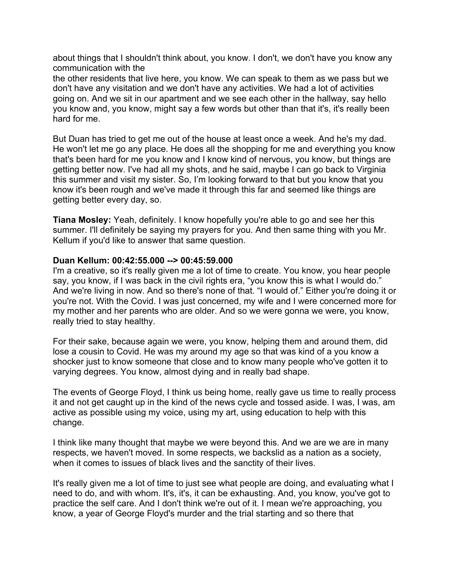about things that I shouldn't think about, you know. I don't, we don't have you know any communication with the

the other residents that live here, you know. We can speak to them as we pass but we don't have any visitation and we don't have any activities. We had a lot of activities going on. And we sit in our apartment and we see each other in the hallway, say hello you know and, you know, might say a few words but other than that it's, it's really been hard for me.

But Duan has tried to get me out of the house at least once a week. And he's my dad. He won't let me go any place. He does all the shopping for me and everything you know that's been hard for me you know and I know kind of nervous, you know, but things are getting better now. I've had all my shots, and he said, maybe I can go back to Virginia this summer and visit my sister. So, I'm looking forward to that but you know that you know it's been rough and we've made it through this far and seemed like things are getting better every day, so.

**Tiana Mosley:** Yeah, definitely. I know hopefully you're able to go and see her this summer. I'll definitely be saying my prayers for you. And then same thing with you Mr. Kellum if you'd like to answer that same question.

#### **Duan Kellum: 00:42:55.000 --> 00:45:59.000**

I'm a creative, so it's really given me a lot of time to create. You know, you hear people say, you know, if I was back in the civil rights era, "you know this is what I would do." And we're living in now. And so there's none of that. "I would of." Either you're doing it or you're not. With the Covid. I was just concerned, my wife and I were concerned more for my mother and her parents who are older. And so we were gonna we were, you know, really tried to stay healthy.

For their sake, because again we were, you know, helping them and around them, did lose a cousin to Covid. He was my around my age so that was kind of a you know a shocker just to know someone that close and to know many people who've gotten it to varying degrees. You know, almost dying and in really bad shape.

The events of George Floyd, I think us being home, really gave us time to really process it and not get caught up in the kind of the news cycle and tossed aside. I was, I was, am active as possible using my voice, using my art, using education to help with this change.

I think like many thought that maybe we were beyond this. And we are we are in many respects, we haven't moved. In some respects, we backslid as a nation as a society, when it comes to issues of black lives and the sanctity of their lives.

It's really given me a lot of time to just see what people are doing, and evaluating what I need to do, and with whom. It's, it's, it can be exhausting. And, you know, you've got to practice the self care. And I don't think we're out of it. I mean we're approaching, you know, a year of George Floyd's murder and the trial starting and so there that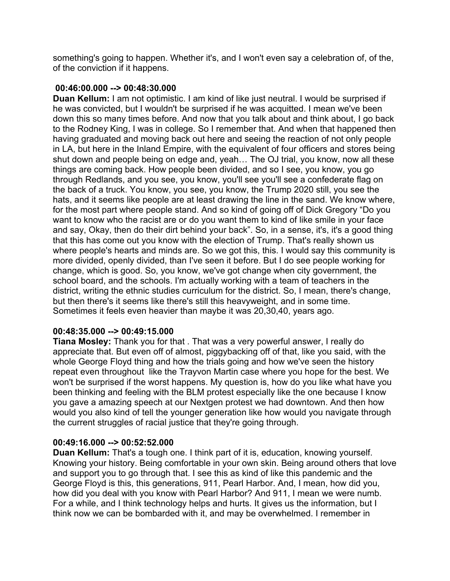something's going to happen. Whether it's, and I won't even say a celebration of, of the, of the conviction if it happens.

#### **00:46:00.000 --> 00:48:30.000**

**Duan Kellum:** I am not optimistic. I am kind of like just neutral. I would be surprised if he was convicted, but I wouldn't be surprised if he was acquitted. I mean we've been down this so many times before. And now that you talk about and think about, I go back to the Rodney King, I was in college. So I remember that. And when that happened then having graduated and moving back out here and seeing the reaction of not only people in LA, but here in the Inland Empire, with the equivalent of four officers and stores being shut down and people being on edge and, yeah… The OJ trial, you know, now all these things are coming back. How people been divided, and so I see, you know, you go through Redlands, and you see, you know, you'll see you'll see a confederate flag on the back of a truck. You know, you see, you know, the Trump 2020 still, you see the hats, and it seems like people are at least drawing the line in the sand. We know where, for the most part where people stand. And so kind of going off of Dick Gregory "Do you want to know who the racist are or do you want them to kind of like smile in your face and say, Okay, then do their dirt behind your back". So, in a sense, it's, it's a good thing that this has come out you know with the election of Trump. That's really shown us where people's hearts and minds are. So we got this, this. I would say this community is more divided, openly divided, than I've seen it before. But I do see people working for change, which is good. So, you know, we've got change when city government, the school board, and the schools. I'm actually working with a team of teachers in the district, writing the ethnic studies curriculum for the district. So, I mean, there's change, but then there's it seems like there's still this heavyweight, and in some time. Sometimes it feels even heavier than maybe it was 20,30,40, years ago.

# **00:48:35.000 --> 00:49:15.000**

**Tiana Mosley:** Thank you for that . That was a very powerful answer, I really do appreciate that. But even off of almost, piggybacking off of that, like you said, with the whole George Floyd thing and how the trials going and how we've seen the history repeat even throughout like the Trayvon Martin case where you hope for the best. We won't be surprised if the worst happens. My question is, how do you like what have you been thinking and feeling with the BLM protest especially like the one because I know you gave a amazing speech at our Nextgen protest we had downtown. And then how would you also kind of tell the younger generation like how would you navigate through the current struggles of racial justice that they're going through.

# **00:49:16.000 --> 00:52:52.000**

**Duan Kellum:** That's a tough one. I think part of it is, education, knowing yourself. Knowing your history. Being comfortable in your own skin. Being around others that love and support you to go through that. I see this as kind of like this pandemic and the George Floyd is this, this generations, 911, Pearl Harbor. And, I mean, how did you, how did you deal with you know with Pearl Harbor? And 911, I mean we were numb. For a while, and I think technology helps and hurts. It gives us the information, but I think now we can be bombarded with it, and may be overwhelmed. I remember in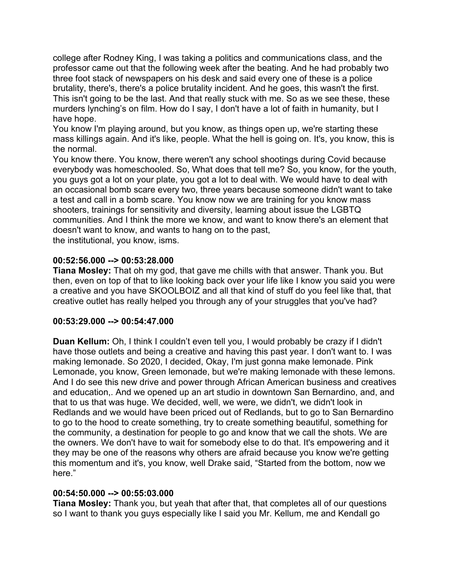college after Rodney King, I was taking a politics and communications class, and the professor came out that the following week after the beating. And he had probably two three foot stack of newspapers on his desk and said every one of these is a police brutality, there's, there's a police brutality incident. And he goes, this wasn't the first. This isn't going to be the last. And that really stuck with me. So as we see these, these murders lynching's on film. How do I say, I don't have a lot of faith in humanity, but I have hope.

You know I'm playing around, but you know, as things open up, we're starting these mass killings again. And it's like, people. What the hell is going on. It's, you know, this is the normal.

You know there. You know, there weren't any school shootings during Covid because everybody was homeschooled. So, What does that tell me? So, you know, for the youth, you guys got a lot on your plate, you got a lot to deal with. We would have to deal with an occasional bomb scare every two, three years because someone didn't want to take a test and call in a bomb scare. You know now we are training for you know mass shooters, trainings for sensitivity and diversity, learning about issue the LGBTQ communities. And I think the more we know, and want to know there's an element that doesn't want to know, and wants to hang on to the past, the institutional, you know, isms.

#### **00:52:56.000 --> 00:53:28.000**

**Tiana Mosley:** That oh my god, that gave me chills with that answer. Thank you. But then, even on top of that to like looking back over your life like I know you said you were a creative and you have SKOOLBOIZ and all that kind of stuff do you feel like that, that creative outlet has really helped you through any of your struggles that you've had?

# **00:53:29.000 --> 00:54:47.000**

**Duan Kellum:** Oh, I think I couldn't even tell you, I would probably be crazy if I didn't have those outlets and being a creative and having this past year. I don't want to. I was making lemonade. So 2020, I decided, Okay, I'm just gonna make lemonade. Pink Lemonade, you know, Green lemonade, but we're making lemonade with these lemons. And I do see this new drive and power through African American business and creatives and education,. And we opened up an art studio in downtown San Bernardino, and, and that to us that was huge. We decided, well, we were, we didn't, we didn't look in Redlands and we would have been priced out of Redlands, but to go to San Bernardino to go to the hood to create something, try to create something beautiful, something for the community, a destination for people to go and know that we call the shots. We are the owners. We don't have to wait for somebody else to do that. It's empowering and it they may be one of the reasons why others are afraid because you know we're getting this momentum and it's, you know, well Drake said, "Started from the bottom, now we here."

# **00:54:50.000 --> 00:55:03.000**

**Tiana Mosley:** Thank you, but yeah that after that, that completes all of our questions so I want to thank you guys especially like I said you Mr. Kellum, me and Kendall go